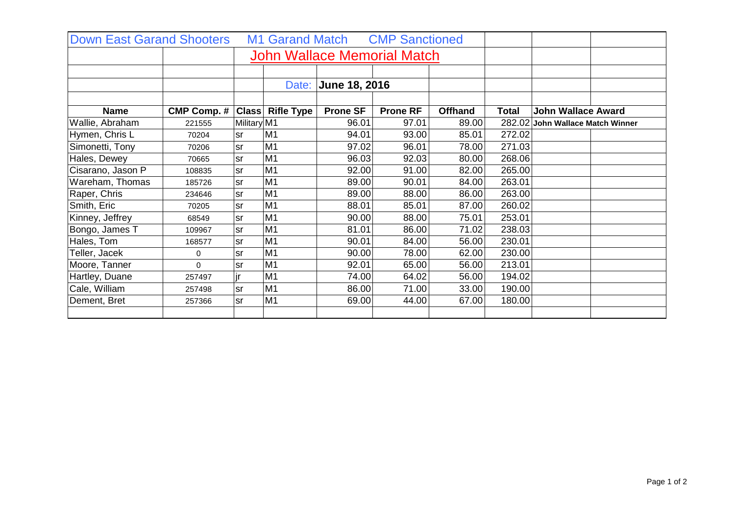| <b>Down East Garand Shooters</b>   |                    |             |                         |                 | M1 Garand Match CMP Sanctioned |                |              |                                  |
|------------------------------------|--------------------|-------------|-------------------------|-----------------|--------------------------------|----------------|--------------|----------------------------------|
| <b>John Wallace Memorial Match</b> |                    |             |                         |                 |                                |                |              |                                  |
|                                    |                    |             |                         |                 |                                |                |              |                                  |
|                                    |                    |             |                         |                 |                                |                |              |                                  |
|                                    |                    |             |                         |                 |                                |                |              |                                  |
| <b>Name</b>                        | <b>CMP Comp. #</b> |             | <b>Class Rifle Type</b> | <b>Prone SF</b> | <b>Prone RF</b>                | <b>Offhand</b> | <b>Total</b> | <b>John Wallace Award</b>        |
| Wallie, Abraham                    | 221555             | Military M1 |                         | 96.01           | 97.01                          | 89.00          |              | 282.02 John Wallace Match Winner |
| Hymen, Chris L                     | 70204              | <b>sr</b>   | M <sub>1</sub>          | 94.01           | 93.00                          | 85.01          | 272.02       |                                  |
| Simonetti, Tony                    | 70206              | <b>sr</b>   | M1                      | 97.02           | 96.01                          | 78.00          | 271.03       |                                  |
| Hales, Dewey                       | 70665              | <b>sr</b>   | M <sub>1</sub>          | 96.03           | 92.03                          | 80.00          | 268.06       |                                  |
| Cisarano, Jason P                  | 108835             | <b>sr</b>   | M <sub>1</sub>          | 92.00           | 91.00                          | 82.00          | 265.00       |                                  |
| Wareham, Thomas                    | 185726             | <b>sr</b>   | M <sub>1</sub>          | 89.00           | 90.01                          | 84.00          | 263.01       |                                  |
| Raper, Chris                       | 234646             | <b>sr</b>   | M <sub>1</sub>          | 89.00           | 88.00                          | 86.00          | 263.00       |                                  |
| Smith, Eric                        | 70205              | <b>sr</b>   | M <sub>1</sub>          | 88.01           | 85.01                          | 87.00          | 260.02       |                                  |
| Kinney, Jeffrey                    | 68549              | <b>sr</b>   | M <sub>1</sub>          | 90.00           | 88.00                          | 75.01          | 253.01       |                                  |
| Bongo, James T                     | 109967             | <b>sr</b>   | M <sub>1</sub>          | 81.01           | 86.00                          | 71.02          | 238.03       |                                  |
| Hales, Tom                         | 168577             | <b>sr</b>   | M <sub>1</sub>          | 90.01           | 84.00                          | 56.00          | 230.01       |                                  |
| Teller, Jacek                      | 0                  | <b>sr</b>   | M <sub>1</sub>          | 90.00           | 78.00                          | 62.00          | 230.00       |                                  |
| Moore, Tanner                      | 0                  | sr          | M <sub>1</sub>          | 92.01           | 65.00                          | 56.00          | 213.01       |                                  |
| Hartley, Duane                     | 257497             | jr          | M <sub>1</sub>          | 74.00           | 64.02                          | 56.00          | 194.02       |                                  |
| Cale, William                      | 257498             | <b>sr</b>   | M <sub>1</sub>          | 86.00           | 71.00                          | 33.00          | 190.00       |                                  |
| Dement, Bret                       | 257366             | <b>sr</b>   | M <sub>1</sub>          | 69.00           | 44.00                          | 67.00          | 180.00       |                                  |
|                                    |                    |             |                         |                 |                                |                |              |                                  |